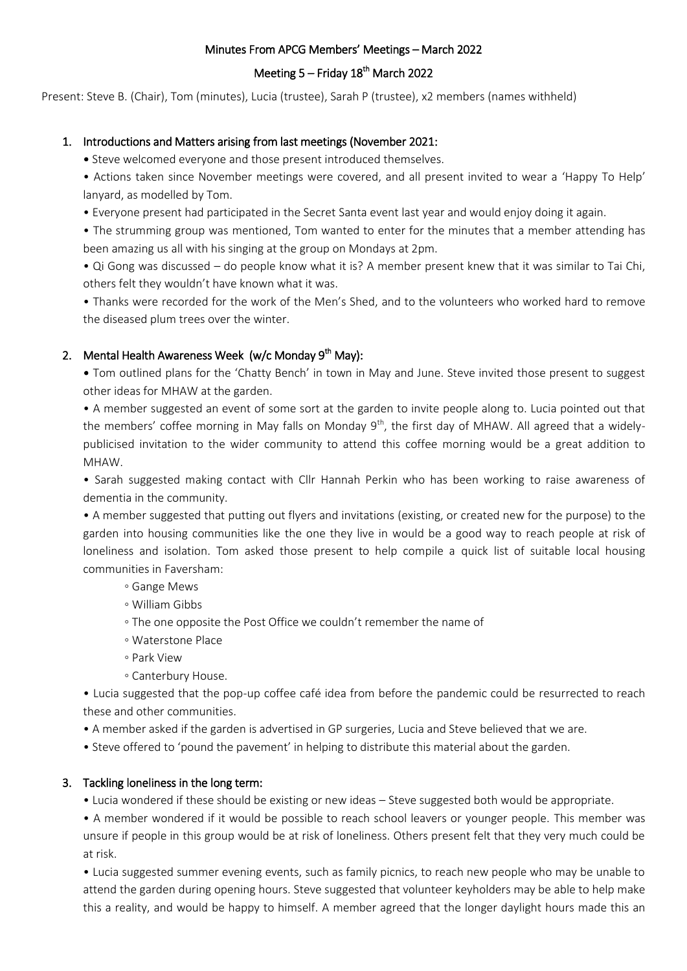### Minutes From APCG Members' Meetings – March 2022

# Meeting 5 – Friday 18<sup>th</sup> March 2022

Present: Steve B. (Chair), Tom (minutes), Lucia (trustee), Sarah P (trustee), x2 members (names withheld)

## 1. Introductions and Matters arising from last meetings (November 2021:

• Steve welcomed everyone and those present introduced themselves.

• Actions taken since November meetings were covered, and all present invited to wear a 'Happy To Help' lanyard, as modelled by Tom.

• Everyone present had participated in the Secret Santa event last year and would enjoy doing it again.

• The strumming group was mentioned, Tom wanted to enter for the minutes that a member attending has been amazing us all with his singing at the group on Mondays at 2pm.

• Qi Gong was discussed – do people know what it is? A member present knew that it was similar to Tai Chi, others felt they wouldn't have known what it was.

• Thanks were recorded for the work of the Men's Shed, and to the volunteers who worked hard to remove the diseased plum trees over the winter.

## 2. Mental Health Awareness Week (w/c Monday 9<sup>th</sup> May):

• Tom outlined plans for the 'Chatty Bench' in town in May and June. Steve invited those present to suggest other ideas for MHAW at the garden.

• A member suggested an event of some sort at the garden to invite people along to. Lucia pointed out that the members' coffee morning in May falls on Monday  $9<sup>th</sup>$ , the first day of MHAW. All agreed that a widelypublicised invitation to the wider community to attend this coffee morning would be a great addition to MHAW.

• Sarah suggested making contact with Cllr Hannah Perkin who has been working to raise awareness of dementia in the community.

• A member suggested that putting out flyers and invitations (existing, or created new for the purpose) to the garden into housing communities like the one they live in would be a good way to reach people at risk of loneliness and isolation. Tom asked those present to help compile a quick list of suitable local housing communities in Faversham:

- Gange Mews
- William Gibbs
- The one opposite the Post Office we couldn't remember the name of
- Waterstone Place
- Park View
- Canterbury House.

• Lucia suggested that the pop-up coffee café idea from before the pandemic could be resurrected to reach these and other communities.

- A member asked if the garden is advertised in GP surgeries, Lucia and Steve believed that we are.
- Steve offered to 'pound the pavement' in helping to distribute this material about the garden.

### 3. Tackling loneliness in the long term:

• Lucia wondered if these should be existing or new ideas – Steve suggested both would be appropriate.

• A member wondered if it would be possible to reach school leavers or younger people. This member was unsure if people in this group would be at risk of loneliness. Others present felt that they very much could be at risk.

• Lucia suggested summer evening events, such as family picnics, to reach new people who may be unable to attend the garden during opening hours. Steve suggested that volunteer keyholders may be able to help make this a reality, and would be happy to himself. A member agreed that the longer daylight hours made this an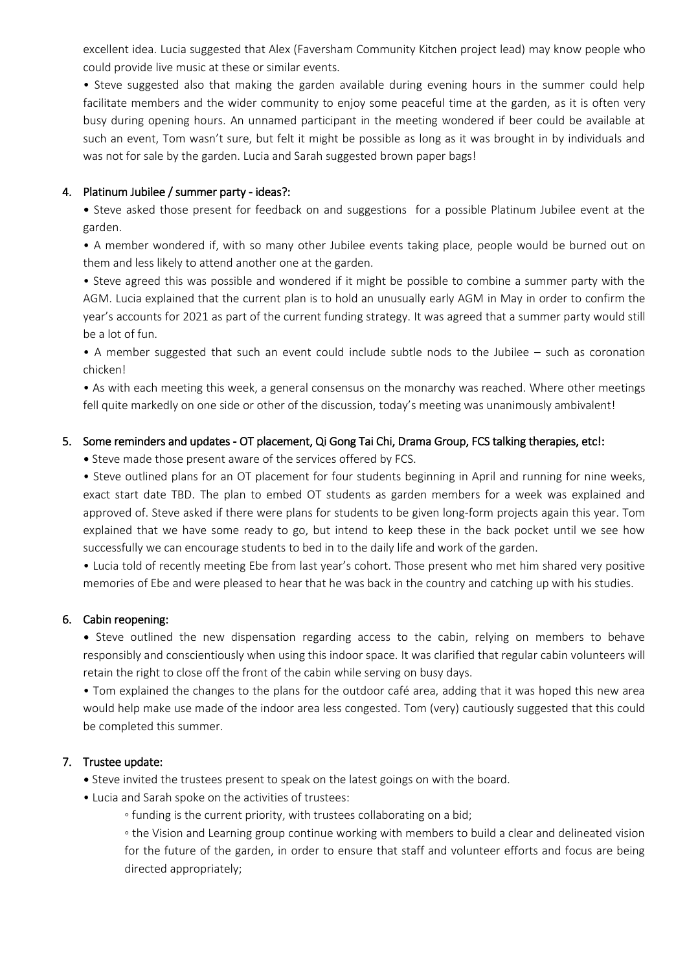excellent idea. Lucia suggested that Alex (Faversham Community Kitchen project lead) may know people who could provide live music at these or similar events.

• Steve suggested also that making the garden available during evening hours in the summer could help facilitate members and the wider community to enjoy some peaceful time at the garden, as it is often very busy during opening hours. An unnamed participant in the meeting wondered if beer could be available at such an event, Tom wasn't sure, but felt it might be possible as long as it was brought in by individuals and was not for sale by the garden. Lucia and Sarah suggested brown paper bags!

### 4. Platinum Jubilee / summer party - ideas?:

• Steve asked those present for feedback on and suggestions for a possible Platinum Jubilee event at the garden.

• A member wondered if, with so many other Jubilee events taking place, people would be burned out on them and less likely to attend another one at the garden.

• Steve agreed this was possible and wondered if it might be possible to combine a summer party with the AGM. Lucia explained that the current plan is to hold an unusually early AGM in May in order to confirm the year's accounts for 2021 as part of the current funding strategy. It was agreed that a summer party would still be a lot of fun.

• A member suggested that such an event could include subtle nods to the Jubilee – such as coronation chicken!

• As with each meeting this week, a general consensus on the monarchy was reached. Where other meetings fell quite markedly on one side or other of the discussion, today's meeting was unanimously ambivalent!

#### 5. Some reminders and updates - OT placement, Qi Gong Tai Chi, Drama Group, FCS talking therapies, etc!:

• Steve made those present aware of the services offered by FCS.

• Steve outlined plans for an OT placement for four students beginning in April and running for nine weeks, exact start date TBD. The plan to embed OT students as garden members for a week was explained and approved of. Steve asked if there were plans for students to be given long-form projects again this year. Tom explained that we have some ready to go, but intend to keep these in the back pocket until we see how successfully we can encourage students to bed in to the daily life and work of the garden.

• Lucia told of recently meeting Ebe from last year's cohort. Those present who met him shared very positive memories of Ebe and were pleased to hear that he was back in the country and catching up with his studies.

### 6. Cabin reopening:

• Steve outlined the new dispensation regarding access to the cabin, relying on members to behave responsibly and conscientiously when using this indoor space. It was clarified that regular cabin volunteers will retain the right to close off the front of the cabin while serving on busy days.

• Tom explained the changes to the plans for the outdoor café area, adding that it was hoped this new area would help make use made of the indoor area less congested. Tom (very) cautiously suggested that this could be completed this summer.

#### 7. Trustee update:

• Steve invited the trustees present to speak on the latest goings on with the board.

- Lucia and Sarah spoke on the activities of trustees:
	- funding is the current priority, with trustees collaborating on a bid;

◦ the Vision and Learning group continue working with members to build a clear and delineated vision for the future of the garden, in order to ensure that staff and volunteer efforts and focus are being directed appropriately;